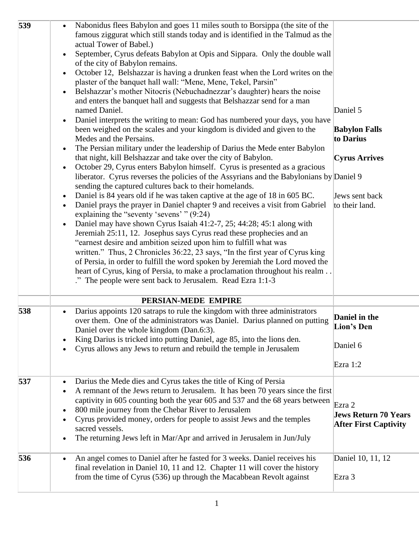| 539 | Nabonidus flees Babylon and goes 11 miles south to Borsippa (the site of the<br>famous ziggurat which still stands today and is identified in the Talmud as the<br>actual Tower of Babel.)<br>September, Cyrus defeats Babylon at Opis and Sippara. Only the double wall<br>of the city of Babylon remains.<br>October 12, Belshazzar is having a drunken feast when the Lord writes on the<br>$\bullet$<br>plaster of the banquet hall wall: "Mene, Mene, Tekel, Parsin"<br>Belshazzar's mother Nitocris (Nebuchadnezzar's daughter) hears the noise<br>$\bullet$<br>and enters the banquet hall and suggests that Belshazzar send for a man<br>named Daniel.<br>Daniel interprets the writing to mean: God has numbered your days, you have<br>been weighed on the scales and your kingdom is divided and given to the<br>Medes and the Persains.<br>The Persian military under the leadership of Darius the Mede enter Babylon<br>$\bullet$<br>that night, kill Belshazzar and take over the city of Babylon.<br>October 29, Cyrus enters Babylon himself. Cyrus is presented as a gracious<br>$\bullet$<br>liberator. Cyrus reverses the policies of the Assyrians and the Babylonians by Daniel 9<br>sending the captured cultures back to their homelands.<br>Daniel is 84 years old if he was taken captive at the age of 18 in 605 BC.<br>$\bullet$<br>Daniel prays the prayer in Daniel chapter 9 and receives a visit from Gabriel<br>$\bullet$<br>explaining the "seventy 'sevens' " (9:24)<br>Daniel may have shown Cyrus Isaiah 41:2-7, 25; 44:28; 45:1 along with<br>$\bullet$<br>Jeremiah 25:11, 12. Josephus says Cyrus read these prophecies and an<br>"earnest desire and ambition seized upon him to fulfill what was<br>written." Thus, 2 Chronicles 36:22, 23 says, "In the first year of Cyrus king<br>of Persia, in order to fulfill the word spoken by Jeremiah the Lord moved the<br>heart of Cyrus, king of Persia, to make a proclamation throughout his realm.<br>." The people were sent back to Jerusalem. Read Ezra 1:1-3 | Daniel 5<br><b>Babylon Falls</b><br>to Darius<br><b>Cyrus Arrives</b><br>Jews sent back<br>to their land. |
|-----|----------------------------------------------------------------------------------------------------------------------------------------------------------------------------------------------------------------------------------------------------------------------------------------------------------------------------------------------------------------------------------------------------------------------------------------------------------------------------------------------------------------------------------------------------------------------------------------------------------------------------------------------------------------------------------------------------------------------------------------------------------------------------------------------------------------------------------------------------------------------------------------------------------------------------------------------------------------------------------------------------------------------------------------------------------------------------------------------------------------------------------------------------------------------------------------------------------------------------------------------------------------------------------------------------------------------------------------------------------------------------------------------------------------------------------------------------------------------------------------------------------------------------------------------------------------------------------------------------------------------------------------------------------------------------------------------------------------------------------------------------------------------------------------------------------------------------------------------------------------------------------------------------------------------------------------------------------------------------------------------------------------------------------------------------------|-----------------------------------------------------------------------------------------------------------|
| 538 | PERSIAN-MEDE EMPIRE<br>Darius appoints 120 satraps to rule the kingdom with three administrators<br>over them. One of the administrators was Daniel. Darius planned on putting<br>Daniel over the whole kingdom (Dan.6:3).<br>King Darius is tricked into putting Daniel, age 85, into the lions den.<br>$\bullet$<br>Cyrus allows any Jews to return and rebuild the temple in Jerusalem<br>$\bullet$                                                                                                                                                                                                                                                                                                                                                                                                                                                                                                                                                                                                                                                                                                                                                                                                                                                                                                                                                                                                                                                                                                                                                                                                                                                                                                                                                                                                                                                                                                                                                                                                                                                   | Daniel in the<br>Lion's Den<br>Daniel 6<br>Ezra 1:2                                                       |
| 537 | Darius the Mede dies and Cyrus takes the title of King of Persia<br>$\bullet$<br>A remnant of the Jews return to Jerusalem. It has been 70 years since the first<br>$\bullet$<br>captivity in 605 counting both the year 605 and 537 and the 68 years between<br>800 mile journey from the Chebar River to Jerusalem<br>$\bullet$<br>Cyrus provided money, orders for people to assist Jews and the temples<br>$\bullet$<br>sacred vessels.<br>The returning Jews left in Mar/Apr and arrived in Jerusalem in Jun/July<br>$\bullet$                                                                                                                                                                                                                                                                                                                                                                                                                                                                                                                                                                                                                                                                                                                                                                                                                                                                                                                                                                                                                                                                                                                                                                                                                                                                                                                                                                                                                                                                                                                      | Ezra 2<br><b>Jews Return 70 Years</b><br><b>After First Captivity</b>                                     |
| 536 | An angel comes to Daniel after he fasted for 3 weeks. Daniel receives his<br>final revelation in Daniel 10, 11 and 12. Chapter 11 will cover the history<br>from the time of Cyrus (536) up through the Macabbean Revolt against                                                                                                                                                                                                                                                                                                                                                                                                                                                                                                                                                                                                                                                                                                                                                                                                                                                                                                                                                                                                                                                                                                                                                                                                                                                                                                                                                                                                                                                                                                                                                                                                                                                                                                                                                                                                                         | Daniel 10, 11, 12<br>Ezra $3$                                                                             |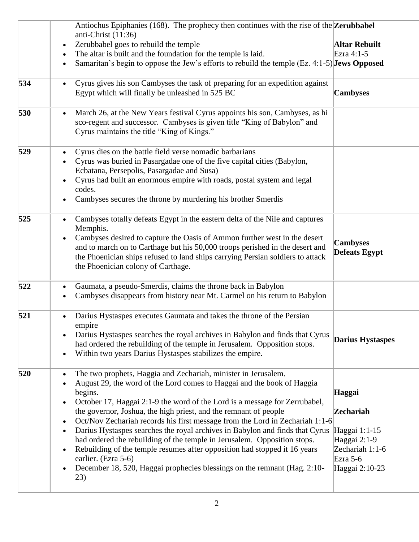|     | Antiochus Epiphanies (168). The prophecy then continues with the rise of the <b>Zerubbabel</b><br>anti-Christ $(11:36)$                                                                                                                                                                                                                                                                                                                                                                                                                                                                                                                                                                                                                                                                                                             |                                                                                                                |
|-----|-------------------------------------------------------------------------------------------------------------------------------------------------------------------------------------------------------------------------------------------------------------------------------------------------------------------------------------------------------------------------------------------------------------------------------------------------------------------------------------------------------------------------------------------------------------------------------------------------------------------------------------------------------------------------------------------------------------------------------------------------------------------------------------------------------------------------------------|----------------------------------------------------------------------------------------------------------------|
|     | Zerubbabel goes to rebuild the temple<br>$\bullet$                                                                                                                                                                                                                                                                                                                                                                                                                                                                                                                                                                                                                                                                                                                                                                                  | Altar Rebuilt                                                                                                  |
|     | The altar is built and the foundation for the temple is laid.<br>$\bullet$                                                                                                                                                                                                                                                                                                                                                                                                                                                                                                                                                                                                                                                                                                                                                          | Ezra 4:1-5                                                                                                     |
|     | Samaritan's begin to oppose the Jew's efforts to rebuild the temple (Ez. 4:1-5) Jews Opposed<br>$\bullet$                                                                                                                                                                                                                                                                                                                                                                                                                                                                                                                                                                                                                                                                                                                           |                                                                                                                |
| 534 | Cyrus gives his son Cambyses the task of preparing for an expedition against<br>$\bullet$<br>Egypt which will finally be unleashed in 525 BC                                                                                                                                                                                                                                                                                                                                                                                                                                                                                                                                                                                                                                                                                        | <b>Cambyses</b>                                                                                                |
| 530 | March 26, at the New Years festival Cyrus appoints his son, Cambyses, as hi<br>sco-regent and successor. Cambyses is given title "King of Babylon" and<br>Cyrus maintains the title "King of Kings."                                                                                                                                                                                                                                                                                                                                                                                                                                                                                                                                                                                                                                |                                                                                                                |
| 529 | Cyrus dies on the battle field verse nomadic barbarians<br>$\bullet$<br>Cyrus was buried in Pasargadae one of the five capital cities (Babylon,<br>Ecbatana, Persepolis, Pasargadae and Susa)<br>Cyrus had built an enormous empire with roads, postal system and legal<br>codes.<br>Cambyses secures the throne by murdering his brother Smerdis                                                                                                                                                                                                                                                                                                                                                                                                                                                                                   |                                                                                                                |
| 525 | Cambyses totally defeats Egypt in the eastern delta of the Nile and captures<br>Memphis.<br>Cambyses desired to capture the Oasis of Ammon further west in the desert<br>$\bullet$<br>and to march on to Carthage but his 50,000 troops perished in the desert and<br>the Phoenician ships refused to land ships carrying Persian soldiers to attack<br>the Phoenician colony of Carthage.                                                                                                                                                                                                                                                                                                                                                                                                                                          | <b>Cambyses</b><br><b>Defeats Egypt</b>                                                                        |
| 522 | Gaumata, a pseudo-Smerdis, claims the throne back in Babylon<br>$\bullet$<br>Cambyses disappears from history near Mt. Carmel on his return to Babylon<br>$\bullet$                                                                                                                                                                                                                                                                                                                                                                                                                                                                                                                                                                                                                                                                 |                                                                                                                |
| 521 | Darius Hystaspes executes Gaumata and takes the throne of the Persian<br>$\bullet$<br>empire<br>Darius Hystaspes searches the royal archives in Babylon and finds that Cyrus<br>had ordered the rebuilding of the temple in Jerusalem. Opposition stops.<br>Within two years Darius Hystaspes stabilizes the empire.<br>$\bullet$                                                                                                                                                                                                                                                                                                                                                                                                                                                                                                   | <b>Darius Hystaspes</b>                                                                                        |
| 520 | The two prophets, Haggia and Zechariah, minister in Jerusalem.<br>$\bullet$<br>August 29, the word of the Lord comes to Haggai and the book of Haggia<br>$\bullet$<br>begins.<br>October 17, Haggai 2:1-9 the word of the Lord is a message for Zerrubabel,<br>$\bullet$<br>the governor, Joshua, the high priest, and the remnant of people<br>Oct/Nov Zechariah records his first message from the Lord in Zechariah 1:1-6<br>$\bullet$<br>Darius Hystaspes searches the royal archives in Babylon and finds that Cyrus<br>$\bullet$<br>had ordered the rebuilding of the temple in Jerusalem. Opposition stops.<br>Rebuilding of the temple resumes after opposition had stopped it 16 years<br>$\bullet$<br>earlier. (Ezra 5-6)<br>December 18, 520, Haggai prophecies blessings on the remnant (Hag. 2:10-<br>$\bullet$<br>23) | Haggai<br><b>Zechariah</b><br>Haggai 1:1-15<br>Haggai 2:1-9<br>Zechariah 1:1-6<br>Ezra $5-6$<br>Haggai 2:10-23 |
|     |                                                                                                                                                                                                                                                                                                                                                                                                                                                                                                                                                                                                                                                                                                                                                                                                                                     |                                                                                                                |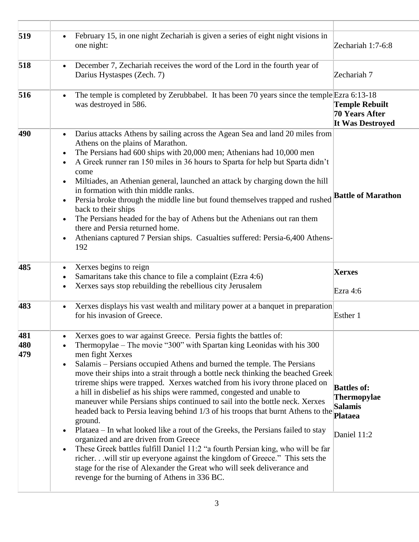| 519 | February 15, in one night Zechariah is given a series of eight night visions in<br>$\bullet$<br>one night:                                                                                                                                                                                                                                                                                                                                                                                                                                                                                                                                                                                                                                                                                                          | Zechariah 1:7-6:8                                                  |
|-----|---------------------------------------------------------------------------------------------------------------------------------------------------------------------------------------------------------------------------------------------------------------------------------------------------------------------------------------------------------------------------------------------------------------------------------------------------------------------------------------------------------------------------------------------------------------------------------------------------------------------------------------------------------------------------------------------------------------------------------------------------------------------------------------------------------------------|--------------------------------------------------------------------|
| 518 | December 7, Zechariah receives the word of the Lord in the fourth year of<br>$\bullet$<br>Darius Hystaspes (Zech. 7)                                                                                                                                                                                                                                                                                                                                                                                                                                                                                                                                                                                                                                                                                                | Zechariah 7                                                        |
| 516 | The temple is completed by Zerubbabel. It has been 70 years since the temple Ezra 6:13-18<br>$\bullet$<br>was destroyed in 586.                                                                                                                                                                                                                                                                                                                                                                                                                                                                                                                                                                                                                                                                                     | <b>Temple Rebuilt</b><br>70 Years After<br><b>It Was Destroyed</b> |
| 490 | Darius attacks Athens by sailing across the Agean Sea and land 20 miles from<br>$\bullet$<br>Athens on the plains of Marathon.<br>The Persians had 600 ships with 20,000 men; Athenians had 10,000 men<br>$\bullet$<br>A Greek runner ran 150 miles in 36 hours to Sparta for help but Sparta didn't<br>$\bullet$<br>come<br>Miltiades, an Athenian general, launched an attack by charging down the hill<br>$\bullet$<br>in formation with thin middle ranks.<br>Persia broke through the middle line but found themselves trapped and rushed<br>$\bullet$<br>back to their ships<br>The Persians headed for the bay of Athens but the Athenians out ran them<br>$\bullet$<br>there and Persia returned home.<br>Athenians captured 7 Persian ships. Casualties suffered: Persia-6,400 Athens-<br>$\bullet$<br>192 | <b>Battle of Marathon</b>                                          |
| 485 | Xerxes begins to reign<br>$\bullet$<br>Samaritans take this chance to file a complaint (Ezra 4:6)<br>Xerxes says stop rebuilding the rebellious city Jerusalem<br>$\bullet$                                                                                                                                                                                                                                                                                                                                                                                                                                                                                                                                                                                                                                         | <b>Xerxes</b><br>Ezra 4:6                                          |
| 483 | Xerxes displays his vast wealth and military power at a banquet in preparation<br>$\bullet$<br>for his invasion of Greece.                                                                                                                                                                                                                                                                                                                                                                                                                                                                                                                                                                                                                                                                                          | Esther 1                                                           |
| 481 |                                                                                                                                                                                                                                                                                                                                                                                                                                                                                                                                                                                                                                                                                                                                                                                                                     |                                                                    |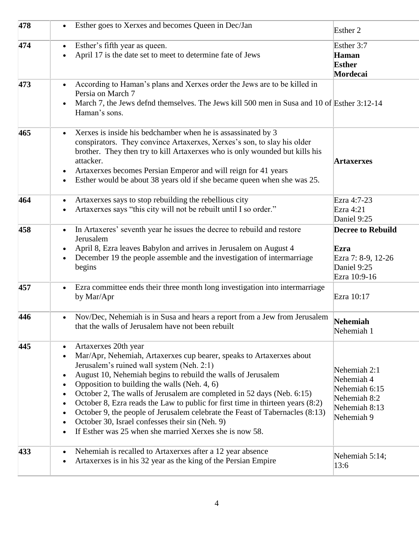| 478 | Esther goes to Xerxes and becomes Queen in Dec/Jan<br>$\bullet$                                                                                                                                                                                                                                                                                                                                                                                                                                                                                                                                                                                                                                                                          | Esther 2                                                                                   |
|-----|------------------------------------------------------------------------------------------------------------------------------------------------------------------------------------------------------------------------------------------------------------------------------------------------------------------------------------------------------------------------------------------------------------------------------------------------------------------------------------------------------------------------------------------------------------------------------------------------------------------------------------------------------------------------------------------------------------------------------------------|--------------------------------------------------------------------------------------------|
| 474 | Esther's fifth year as queen.<br>$\bullet$<br>April 17 is the date set to meet to determine fate of Jews<br>$\bullet$                                                                                                                                                                                                                                                                                                                                                                                                                                                                                                                                                                                                                    | Esther 3:7<br>Haman<br>Esther<br>Mordecai                                                  |
| 473 | According to Haman's plans and Xerxes order the Jews are to be killed in<br>$\bullet$<br>Persia on March 7<br>March 7, the Jews defnd themselves. The Jews kill 500 men in Susa and 10 of Esther 3:12-14<br>$\bullet$<br>Haman's sons.                                                                                                                                                                                                                                                                                                                                                                                                                                                                                                   |                                                                                            |
| 465 | Xerxes is inside his bedchamber when he is assassinated by 3<br>$\bullet$<br>conspirators. They convince Artaxerxes, Xerxes's son, to slay his older<br>brother. They then try to kill Artaxerxes who is only wounded but kills his<br>attacker.<br>Artaxerxes becomes Persian Emperor and will reign for 41 years<br>Esther would be about 38 years old if she became queen when she was 25.<br>$\bullet$                                                                                                                                                                                                                                                                                                                               | <b>Artaxerxes</b>                                                                          |
| 464 | Artaxerxes says to stop rebuilding the rebellious city<br>$\bullet$<br>Artaxerxes says "this city will not be rebuilt until I so order."<br>$\bullet$                                                                                                                                                                                                                                                                                                                                                                                                                                                                                                                                                                                    | Ezra 4:7-23<br>Ezra 4:21<br>Daniel 9:25                                                    |
| 458 | In Artaxeres' seventh year he issues the decree to rebuild and restore<br>$\bullet$<br>Jerusalem<br>April 8, Ezra leaves Babylon and arrives in Jerusalem on August 4<br>December 19 the people assemble and the investigation of intermarriage<br>$\bullet$<br>begins                                                                                                                                                                                                                                                                                                                                                                                                                                                                   | <b>Decree to Rebuild</b><br>Ezra<br>Ezra 7: 8-9, 12-26<br>Daniel 9:25<br>Ezra 10:9-16      |
| 457 | Ezra committee ends their three month long investigation into intermarriage<br>$\bullet$<br>by Mar/Apr                                                                                                                                                                                                                                                                                                                                                                                                                                                                                                                                                                                                                                   | Ezra 10:17                                                                                 |
| 446 | Nov/Dec, Nehemiah is in Susa and hears a report from a Jew from Jerusalem<br>$\bullet$<br>that the walls of Jerusalem have not been rebuilt                                                                                                                                                                                                                                                                                                                                                                                                                                                                                                                                                                                              | Nehemiah<br>Nehemiah 1                                                                     |
| 445 | Artaxerxes 20th year<br>$\bullet$<br>Mar/Apr, Nehemiah, Artaxerxes cup bearer, speaks to Artaxerxes about<br>$\bullet$<br>Jerusalem's ruined wall system (Neh. 2:1)<br>August 10, Nehemiah begins to rebuild the walls of Jerusalem<br>$\bullet$<br>Opposition to building the walls (Neh. 4, 6)<br>$\bullet$<br>October 2, The walls of Jerusalem are completed in 52 days (Neb. 6:15)<br>$\bullet$<br>October 8, Ezra reads the Law to public for first time in thirteen years (8:2)<br>$\bullet$<br>October 9, the people of Jerusalem celebrate the Feast of Tabernacles (8:13)<br>$\bullet$<br>October 30, Israel confesses their sin (Neh. 9)<br>$\bullet$<br>If Esther was 25 when she married Xerxes she is now 58.<br>$\bullet$ | Nehemiah 2:1<br>Nehemiah 4<br>Nehemiah 6:15<br>Nehemiah 8:2<br>Nehemiah 8:13<br>Nehemiah 9 |
| 433 | Nehemiah is recalled to Artaxerxes after a 12 year absence<br>Artaxerxes is in his 32 year as the king of the Persian Empire<br>$\bullet$                                                                                                                                                                                                                                                                                                                                                                                                                                                                                                                                                                                                | Nehemiah 5:14;<br>13:6                                                                     |